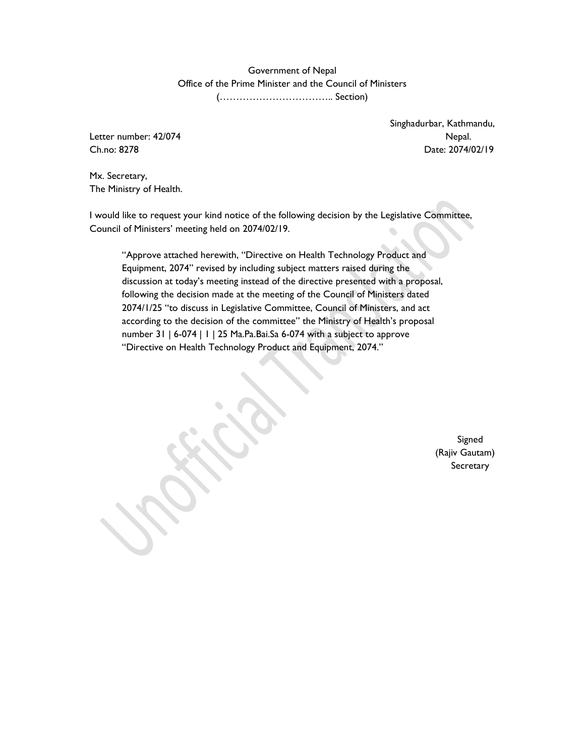Government of Nepal Office of the Prime Minister and the Council of Ministers (…………………………….. Section)

Letter number: 42/074 Nepal.

Singhadurbar, Kathmandu, Ch.no: 8278 Date: 2074/02/19

Mx. Secretary, The Ministry of Health.

I would like to request your kind notice of the following decision by the Legislative Committee, Council of Ministers' meeting held on 2074/02/19.

"Approve attached herewith, "Directive on Health Technology Product and Equipment, 2074" revised by including subject matters raised during the discussion at today's meeting instead of the directive presented with a proposal, following the decision made at the meeting of the Council of Ministers dated 2074/1/25 "to discuss in Legislative Committee, Council of Ministers, and act according to the decision of the committee" the Ministry of Health's proposal number 31 | 6-074 | 1 | 25 Ma.Pa.Bai.Sa 6-074 with a subject to approve "Directive on Health Technology Product and Equipment, 2074."

> Signed (Rajiv Gautam) **Secretary**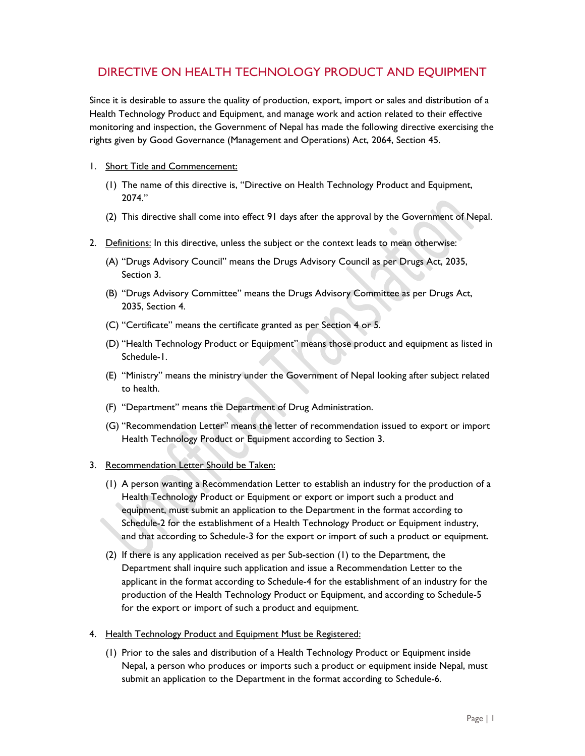# DIRECTIVE ON HEALTH TECHNOLOGY PRODUCT AND EQUIPMENT

Since it is desirable to assure the quality of production, export, import or sales and distribution of a Health Technology Product and Equipment, and manage work and action related to their effective monitoring and inspection, the Government of Nepal has made the following directive exercising the rights given by Good Governance (Management and Operations) Act, 2064, Section 45.

#### 1. Short Title and Commencement:

- (1) The name of this directive is, "Directive on Health Technology Product and Equipment, 2074."
- (2) This directive shall come into effect 91 days after the approval by the Government of Nepal.
- 2. Definitions: In this directive, unless the subject or the context leads to mean otherwise:
	- (A) "Drugs Advisory Council" means the Drugs Advisory Council as per Drugs Act, 2035, Section 3.
	- (B) "Drugs Advisory Committee" means the Drugs Advisory Committee as per Drugs Act, 2035, Section 4.
	- (C) "Certificate" means the certificate granted as per Section 4 or 5.
	- (D) "Health Technology Product or Equipment" means those product and equipment as listed in Schedule-1.
	- (E) "Ministry" means the ministry under the Government of Nepal looking after subject related to health.
	- (F) "Department" means the Department of Drug Administration.
	- (G) "Recommendation Letter" means the letter of recommendation issued to export or import Health Technology Product or Equipment according to Section 3.

#### 3. Recommendation Letter Should be Taken:

- (1) A person wanting a Recommendation Letter to establish an industry for the production of a Health Technology Product or Equipment or export or import such a product and equipment, must submit an application to the Department in the format according to Schedule-2 for the establishment of a Health Technology Product or Equipment industry, and that according to Schedule-3 for the export or import of such a product or equipment.
- (2) If there is any application received as per Sub-section (1) to the Department, the Department shall inquire such application and issue a Recommendation Letter to the applicant in the format according to Schedule-4 for the establishment of an industry for the production of the Health Technology Product or Equipment, and according to Schedule-5 for the export or import of such a product and equipment.
- 4. Health Technology Product and Equipment Must be Registered:
	- (1) Prior to the sales and distribution of a Health Technology Product or Equipment inside Nepal, a person who produces or imports such a product or equipment inside Nepal, must submit an application to the Department in the format according to Schedule-6.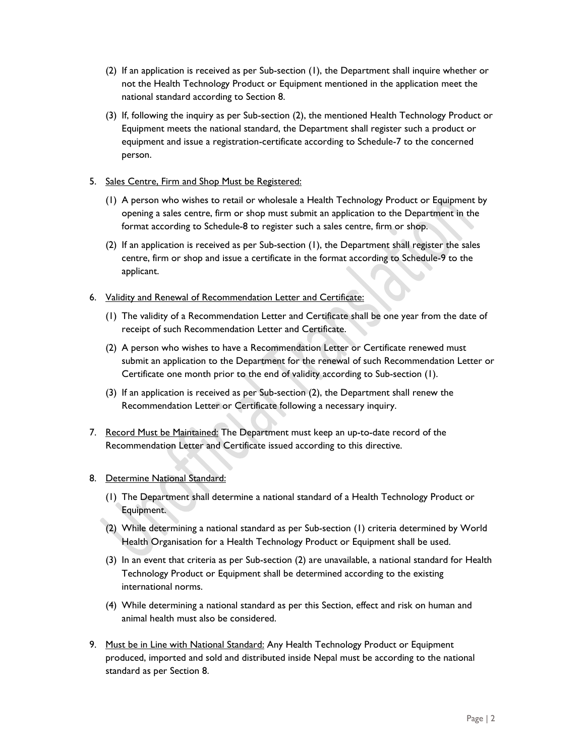- (2) If an application is received as per Sub-section (1), the Department shall inquire whether or not the Health Technology Product or Equipment mentioned in the application meet the national standard according to Section 8.
- (3) If, following the inquiry as per Sub-section (2), the mentioned Health Technology Product or Equipment meets the national standard, the Department shall register such a product or equipment and issue a registration-certificate according to Schedule-7 to the concerned person.

#### 5. Sales Centre, Firm and Shop Must be Registered:

- (1) A person who wishes to retail or wholesale a Health Technology Product or Equipment by opening a sales centre, firm or shop must submit an application to the Department in the format according to Schedule-8 to register such a sales centre, firm or shop.
- (2) If an application is received as per Sub-section (1), the Department shall register the sales centre, firm or shop and issue a certificate in the format according to Schedule-9 to the applicant.

#### 6. Validity and Renewal of Recommendation Letter and Certificate:

- (1) The validity of a Recommendation Letter and Certificate shall be one year from the date of receipt of such Recommendation Letter and Certificate.
- (2) A person who wishes to have a Recommendation Letter or Certificate renewed must submit an application to the Department for the renewal of such Recommendation Letter or Certificate one month prior to the end of validity according to Sub-section (1).
- (3) If an application is received as per Sub-section (2), the Department shall renew the Recommendation Letter or Certificate following a necessary inquiry.
- 7. Record Must be Maintained: The Department must keep an up-to-date record of the Recommendation Letter and Certificate issued according to this directive.

#### 8. Determine National Standard:

- (1) The Department shall determine a national standard of a Health Technology Product or Equipment.
- (2) While determining a national standard as per Sub-section (1) criteria determined by World Health Organisation for a Health Technology Product or Equipment shall be used.
- (3) In an event that criteria as per Sub-section (2) are unavailable, a national standard for Health Technology Product or Equipment shall be determined according to the existing international norms.
- (4) While determining a national standard as per this Section, effect and risk on human and animal health must also be considered.
- 9. Must be in Line with National Standard: Any Health Technology Product or Equipment produced, imported and sold and distributed inside Nepal must be according to the national standard as per Section 8.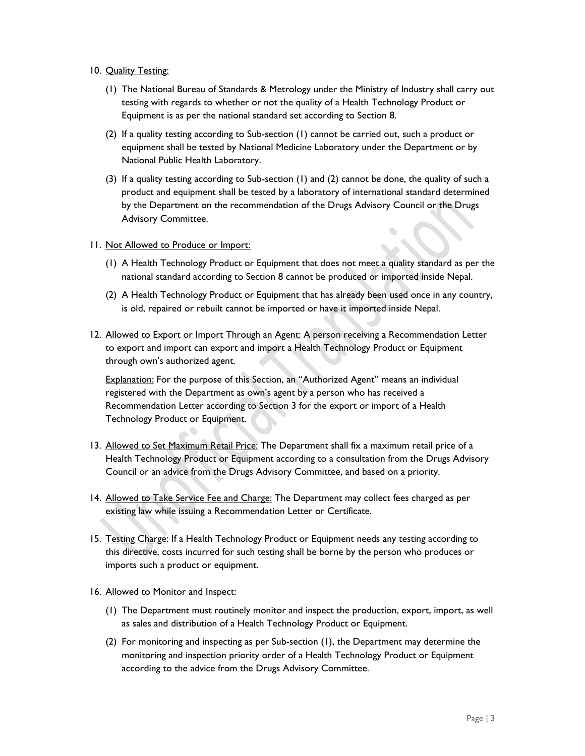- 10. Quality Testing:
	- (1) The National Bureau of Standards & Metrology under the Ministry of Industry shall carry out testing with regards to whether or not the quality of a Health Technology Product or Equipment is as per the national standard set according to Section 8.
	- (2) If a quality testing according to Sub-section (1) cannot be carried out, such a product or equipment shall be tested by National Medicine Laboratory under the Department or by National Public Health Laboratory.
	- (3) If a quality testing according to Sub-section (1) and (2) cannot be done, the quality of such a product and equipment shall be tested by a laboratory of international standard determined by the Department on the recommendation of the Drugs Advisory Council or the Drugs Advisory Committee.
- 11. Not Allowed to Produce or Import:
	- (1) A Health Technology Product or Equipment that does not meet a quality standard as per the national standard according to Section 8 cannot be produced or imported inside Nepal.
	- (2) A Health Technology Product or Equipment that has already been used once in any country, is old, repaired or rebuilt cannot be imported or have it imported inside Nepal.
- 12. Allowed to Export or Import Through an Agent: A person receiving a Recommendation Letter to export and import can export and import a Health Technology Product or Equipment through own's authorized agent.

Explanation: For the purpose of this Section, an "Authorized Agent" means an individual registered with the Department as own's agent by a person who has received a Recommendation Letter according to Section 3 for the export or import of a Health Technology Product or Equipment.

- 13. Allowed to Set Maximum Retail Price: The Department shall fix a maximum retail price of a Health Technology Product or Equipment according to a consultation from the Drugs Advisory Council or an advice from the Drugs Advisory Committee, and based on a priority.
- 14. Allowed to Take Service Fee and Charge: The Department may collect fees charged as per existing law while issuing a Recommendation Letter or Certificate.
- 15. Testing Charge: If a Health Technology Product or Equipment needs any testing according to this directive, costs incurred for such testing shall be borne by the person who produces or imports such a product or equipment.
- 16. Allowed to Monitor and Inspect:
	- (1) The Department must routinely monitor and inspect the production, export, import, as well as sales and distribution of a Health Technology Product or Equipment.
	- (2) For monitoring and inspecting as per Sub-section (1), the Department may determine the monitoring and inspection priority order of a Health Technology Product or Equipment according to the advice from the Drugs Advisory Committee.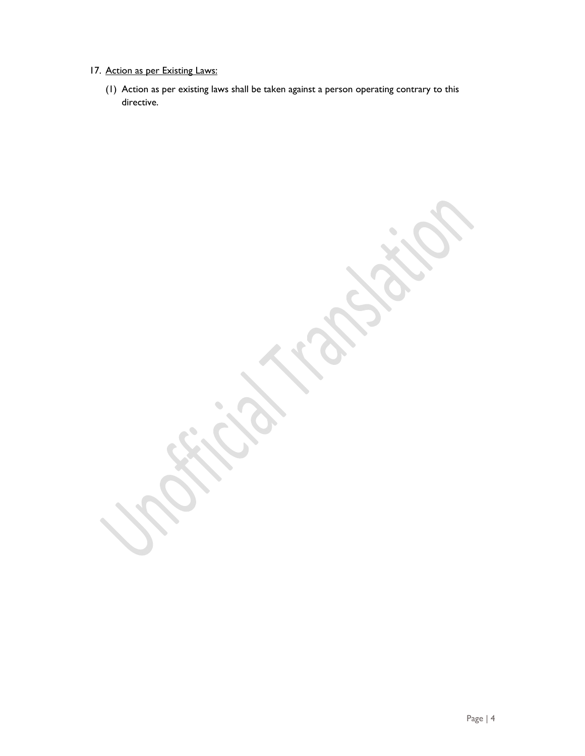- 17. Action as per Existing Laws:
	- (1) Action as per existing laws shall be taken against a person operating contrary to this directive.

۹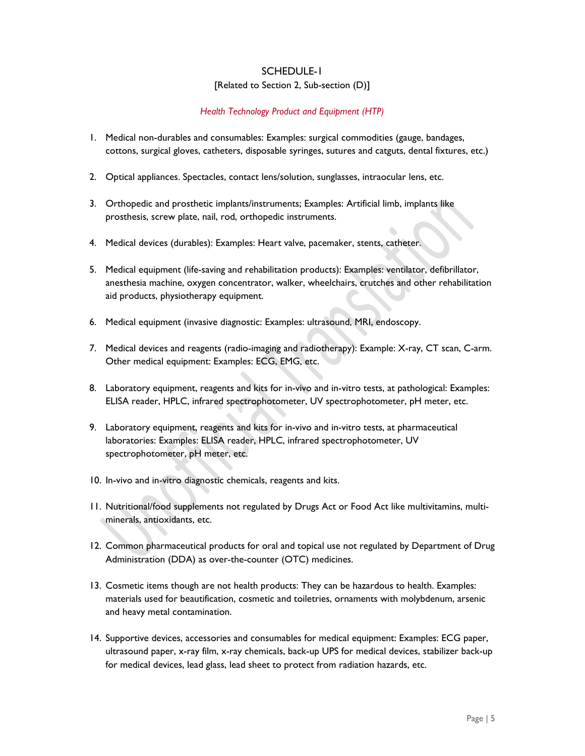# SCHEDULE-1 [Related to Section 2, Sub-section (D)]

#### *Health Technology Product and Equipment (HTP)*

- 1. Medical non-durables and consumables: Examples: surgical commodities (gauge, bandages, cottons, surgical gloves, catheters, disposable syringes, sutures and catguts, dental fixtures, etc.)
- 2. Optical appliances. Spectacles, contact lens/solution, sunglasses, intraocular lens, etc.
- 3. Orthopedic and prosthetic implants/instruments; Examples: Artificial limb, implants like prosthesis, screw plate, nail, rod, orthopedic instruments.
- 4. Medical devices (durables): Examples: Heart valve, pacemaker, stents, catheter.
- 5. Medical equipment (life-saving and rehabilitation products): Examples: ventilator, defibrillator, anesthesia machine, oxygen concentrator, walker, wheelchairs, crutches and other rehabilitation aid products, physiotherapy equipment.
- 6. Medical equipment (invasive diagnostic: Examples: ultrasound, MRI, endoscopy.
- 7. Medical devices and reagents (radio-imaging and radiotherapy): Example: X-ray, CT scan, C-arm. Other medical equipment: Examples: ECG, EMG, etc.
- 8. Laboratory equipment, reagents and kits for in-vivo and in-vitro tests, at pathological: Examples: ELISA reader, HPLC, infrared spectrophotometer, UV spectrophotometer, pH meter, etc.
- 9. Laboratory equipment, reagents and kits for in-vivo and in-vitro tests, at pharmaceutical laboratories: Examples: ELISA reader, HPLC, infrared spectrophotometer, UV spectrophotometer, pH meter, etc.
- 10. In-vivo and in-vitro diagnostic chemicals, reagents and kits.
- 11. Nutritional/food supplements not regulated by Drugs Act or Food Act like multivitamins, multiminerals, antioxidants, etc.
- 12. Common pharmaceutical products for oral and topical use not regulated by Department of Drug Administration (DDA) as over-the-counter (OTC) medicines.
- 13. Cosmetic items though are not health products: They can be hazardous to health. Examples: materials used for beautification, cosmetic and toiletries, ornaments with molybdenum, arsenic and heavy metal contamination.
- 14. Supportive devices, accessories and consumables for medical equipment: Examples: ECG paper, ultrasound paper, x-ray film, x-ray chemicals, back-up UPS for medical devices, stabilizer back-up for medical devices, lead glass, lead sheet to protect from radiation hazards, etc.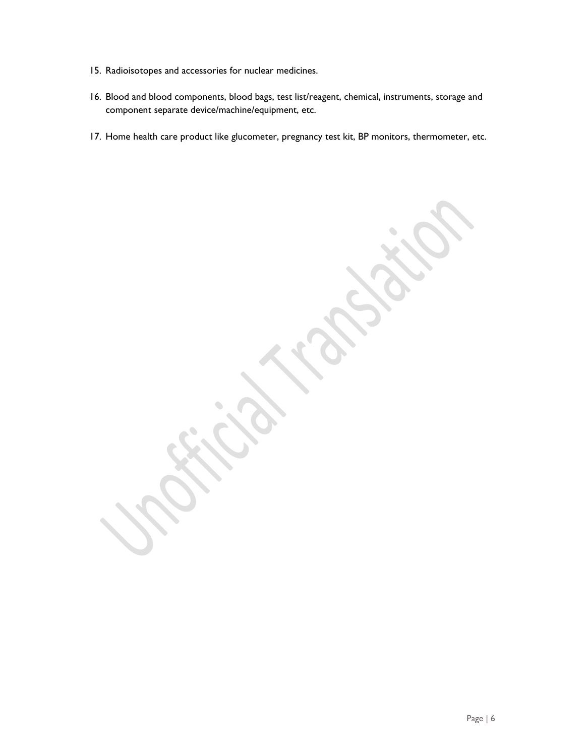- 15. Radioisotopes and accessories for nuclear medicines.
- 16. Blood and blood components, blood bags, test list/reagent, chemical, instruments, storage and component separate device/machine/equipment, etc.
- 17. Home health care product like glucometer, pregnancy test kit, BP monitors, thermometer, etc.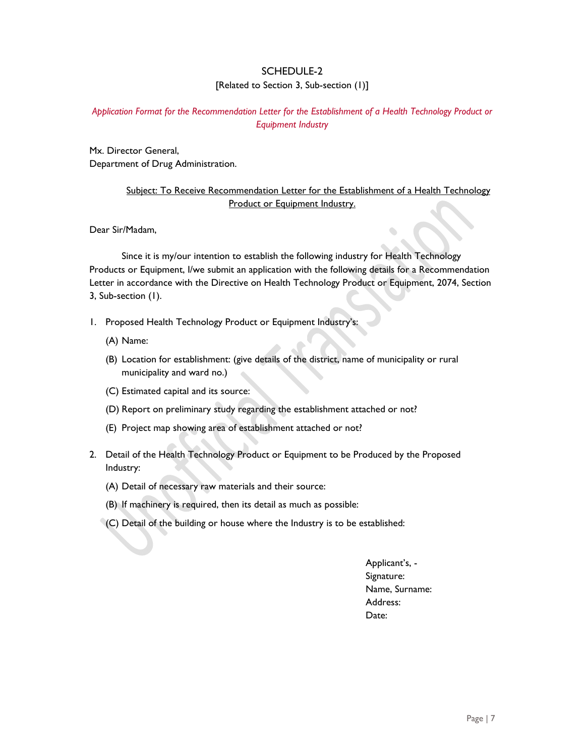# SCHEDULE-2 [Related to Section 3, Sub-section (1)]

### *Application Format for the Recommendation Letter for the Establishment of a Health Technology Product or Equipment Industry*

Mx. Director General, Department of Drug Administration.

# Subject: To Receive Recommendation Letter for the Establishment of a Health Technology Product or Equipment Industry.

Dear Sir/Madam,

 Since it is my/our intention to establish the following industry for Health Technology Products or Equipment, I/we submit an application with the following details for a Recommendation Letter in accordance with the Directive on Health Technology Product or Equipment, 2074, Section 3, Sub-section (1).

- 1. Proposed Health Technology Product or Equipment Industry's:
	- (A) Name:
	- (B) Location for establishment: (give details of the district, name of municipality or rural municipality and ward no.)
	- (C) Estimated capital and its source:
	- (D) Report on preliminary study regarding the establishment attached or not?
	- (E) Project map showing area of establishment attached or not?
- 2. Detail of the Health Technology Product or Equipment to be Produced by the Proposed Industry:
	- (A) Detail of necessary raw materials and their source:
	- (B) If machinery is required, then its detail as much as possible:
	- (C) Detail of the building or house where the Industry is to be established:

Applicant's, - Signature: Name, Surname: Address: Date: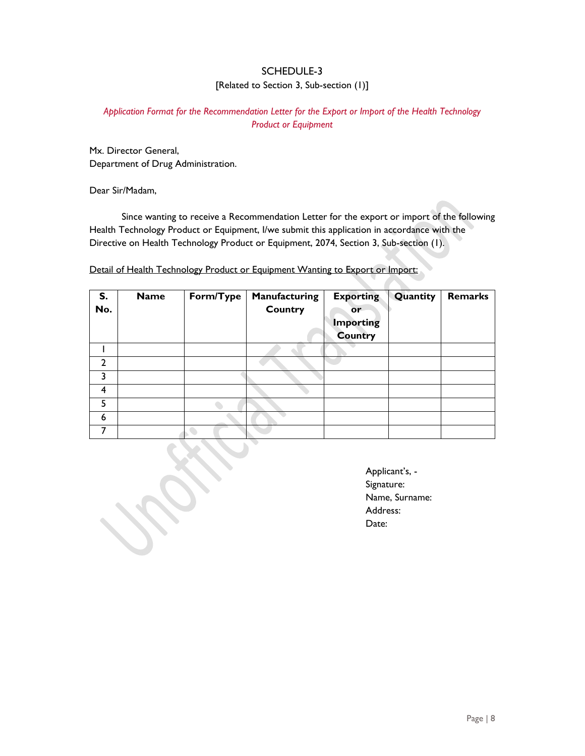# SCHEDULE-3 [Related to Section 3, Sub-section (1)]

#### *Application Format for the Recommendation Letter for the Export or Import of the Health Technology Product or Equipment*

Mx. Director General, Department of Drug Administration.

Dear Sir/Madam,

 Since wanting to receive a Recommendation Letter for the export or import of the following Health Technology Product or Equipment, I/we submit this application in accordance with the Directive on Health Technology Product or Equipment, 2074, Section 3, Sub-section (1).

Detail of Health Technology Product or Equipment Wanting to Export or Import:

| S.<br>No. | <b>Name</b> | Form/Type | Manufacturing<br><b>Country</b> | <b>Exporting</b><br><b>or</b><br><b>Importing</b> | Quantity | Remarks |
|-----------|-------------|-----------|---------------------------------|---------------------------------------------------|----------|---------|
|           |             |           |                                 | <b>Country</b>                                    |          |         |
|           |             |           |                                 |                                                   |          |         |
| າ         |             |           |                                 |                                                   |          |         |
|           |             |           |                                 |                                                   |          |         |
| 4         |             |           |                                 |                                                   |          |         |
| 5         |             |           |                                 |                                                   |          |         |
| 6         |             |           |                                 |                                                   |          |         |
|           |             |           |                                 |                                                   |          |         |

Applicant's, - Signature: Name, Surname: Address: Date: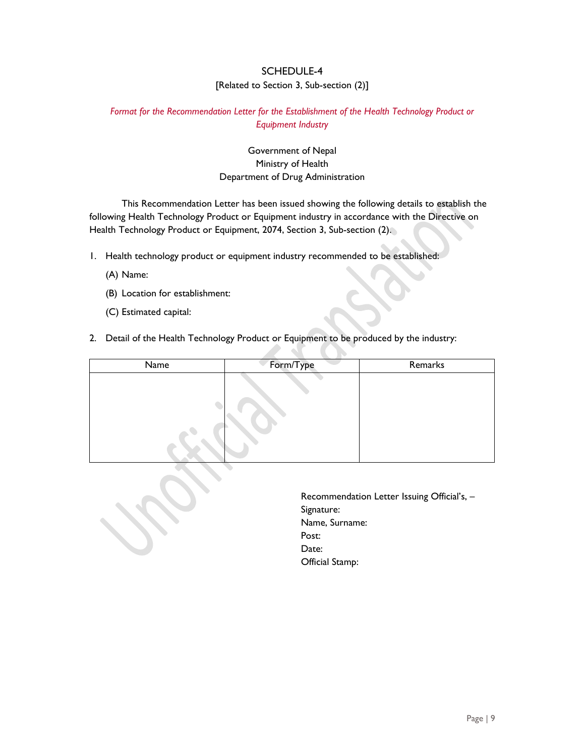# SCHEDULE-4 [Related to Section 3, Sub-section (2)]

#### *Format for the Recommendation Letter for the Establishment of the Health Technology Product or Equipment Industry*

### Government of Nepal Ministry of Health Department of Drug Administration

 This Recommendation Letter has been issued showing the following details to establish the following Health Technology Product or Equipment industry in accordance with the Directive on Health Technology Product or Equipment, 2074, Section 3, Sub-section (2).

- 1. Health technology product or equipment industry recommended to be established:
	- (A) Name:
	- (B) Location for establishment:
	- (C) Estimated capital:
- 2. Detail of the Health Technology Product or Equipment to be produced by the industry:

| Name | Form/Type | Remarks |
|------|-----------|---------|
|      |           |         |

T.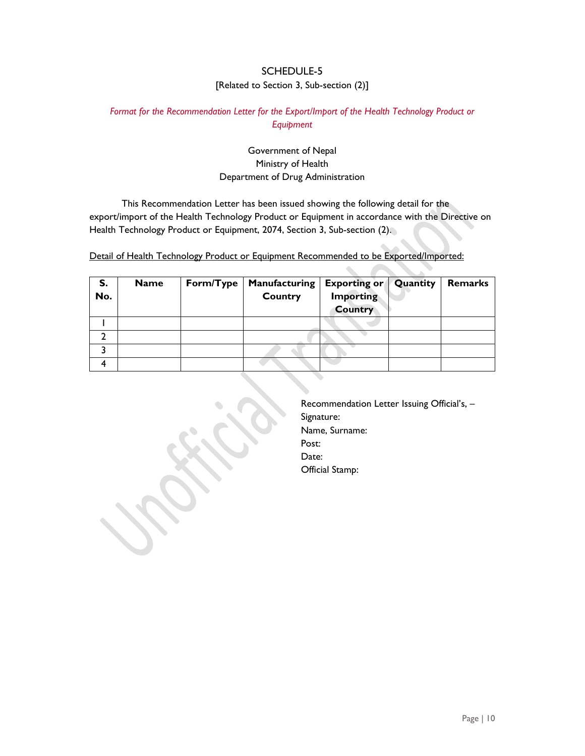# SCHEDULE-5 [Related to Section 3, Sub-section (2)]

### *Format for the Recommendation Letter for the Export/Import of the Health Technology Product or Equipment*

# Government of Nepal Ministry of Health Department of Drug Administration

 This Recommendation Letter has been issued showing the following detail for the export/import of the Health Technology Product or Equipment in accordance with the Directive on Health Technology Product or Equipment, 2074, Section 3, Sub-section (2).

Detail of Health Technology Product or Equipment Recommended to be Exported/Imported:

| S.<br>No. | <b>Name</b> | Form/Type | <b>Manufacturing</b><br><b>Country</b> | <b>Exporting or</b><br><b>Importing</b><br><b>Country</b> | Quantity | Remarks |
|-----------|-------------|-----------|----------------------------------------|-----------------------------------------------------------|----------|---------|
|           |             |           |                                        |                                                           |          |         |
|           |             |           |                                        |                                                           |          |         |
|           |             |           |                                        |                                                           |          |         |
|           |             |           |                                        |                                                           |          |         |

Recommendation Letter Issuing Official's, – Signature: Name, Surname: Post: Date: Official Stamp: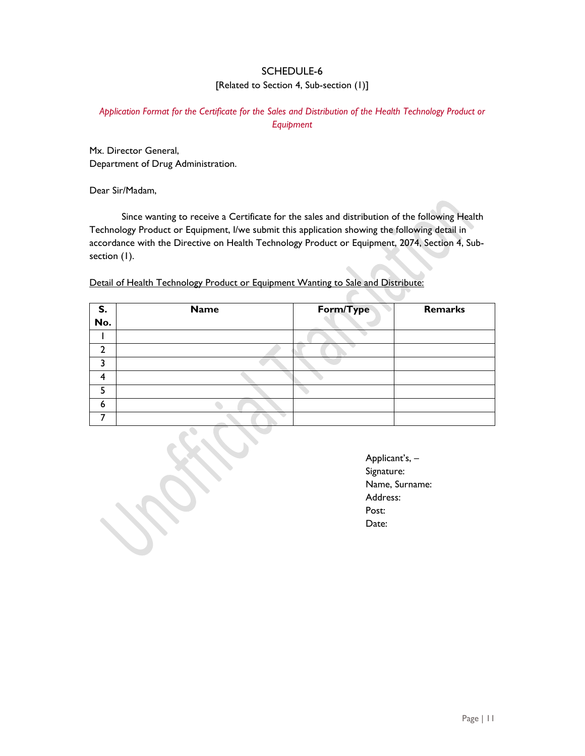# SCHEDULE-6 [Related to Section 4, Sub-section (1)]

### *Application Format for the Certificate for the Sales and Distribution of the Health Technology Product or Equipment*

Mx. Director General, Department of Drug Administration.

Dear Sir/Madam,

 Since wanting to receive a Certificate for the sales and distribution of the following Health Technology Product or Equipment, I/we submit this application showing the following detail in accordance with the Directive on Health Technology Product or Equipment, 2074, Section 4, Subsection (1).

Detail of Health Technology Product or Equipment Wanting to Sale and Distribute:

| S.  | <b>Name</b> | Form/Type | Remarks |
|-----|-------------|-----------|---------|
| No. |             |           |         |
|     |             |           |         |
|     |             |           |         |
|     |             |           |         |
|     |             |           |         |
|     |             |           |         |
| 6   |             |           |         |
|     |             |           |         |

Applicant's, – Signature: Name, Surname: Address: Post: Date: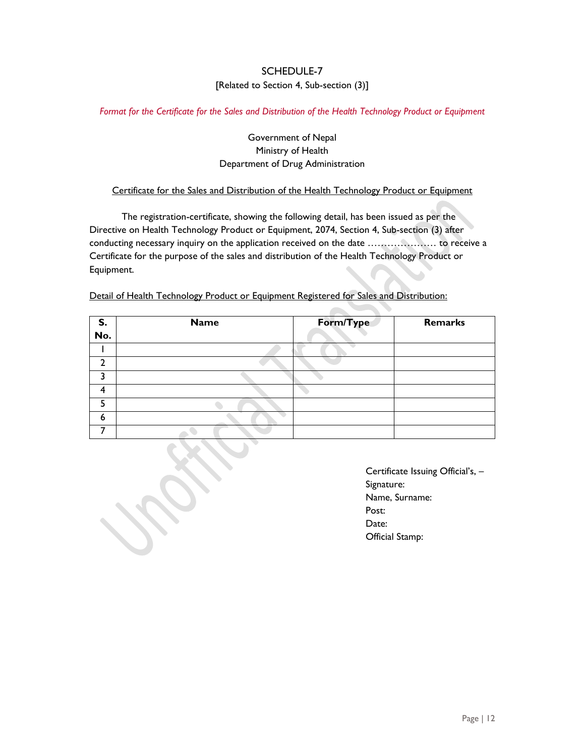# SCHEDULE-7 [Related to Section 4, Sub-section (3)]

*Format for the Certificate for the Sales and Distribution of the Health Technology Product or Equipment* 

### Government of Nepal Ministry of Health Department of Drug Administration

#### Certificate for the Sales and Distribution of the Health Technology Product or Equipment

 The registration-certificate, showing the following detail, has been issued as per the Directive on Health Technology Product or Equipment, 2074, Section 4, Sub-section (3) after conducting necessary inquiry on the application received on the date ………………… to receive a Certificate for the purpose of the sales and distribution of the Health Technology Product or Equipment.

| S.  | <b>Name</b> | Form/Type | Remarks |
|-----|-------------|-----------|---------|
| No. |             |           |         |
|     |             |           |         |
| า   |             |           |         |
| י   |             |           |         |
| Δ.  |             |           |         |
| г   |             |           |         |
| 6   |             |           |         |
|     |             |           |         |

Detail of Health Technology Product or Equipment Registered for Sales and Distribution:

Certificate Issuing Official's, – Signature: Name, Surname: Post: Date: Official Stamp: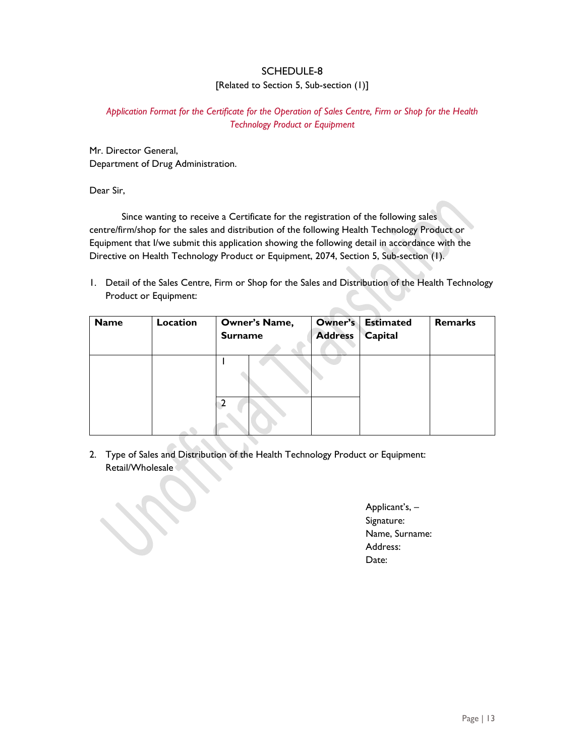# SCHEDULE-8 [Related to Section 5, Sub-section (1)]

### *Application Format for the Certificate for the Operation of Sales Centre, Firm or Shop for the Health Technology Product or Equipment*

Mr. Director General, Department of Drug Administration.

Dear Sir,

 Since wanting to receive a Certificate for the registration of the following sales centre/firm/shop for the sales and distribution of the following Health Technology Product or Equipment that I/we submit this application showing the following detail in accordance with the Directive on Health Technology Product or Equipment, 2074, Section 5, Sub-section (1).

1. Detail of the Sales Centre, Firm or Shop for the Sales and Distribution of the Health Technology Product or Equipment:

| <b>Name</b> | Location | Owner's Name,<br><b>Surname</b> | Owner's<br><b>Address</b> | <b>Estimated</b><br>Capital | <b>Remarks</b> |
|-------------|----------|---------------------------------|---------------------------|-----------------------------|----------------|
|             |          |                                 |                           |                             |                |
|             |          |                                 |                           |                             |                |

2. Type of Sales and Distribution of the Health Technology Product or Equipment: Retail/Wholesale

Applicant's, – Signature: Name, Surname: Address: Date: